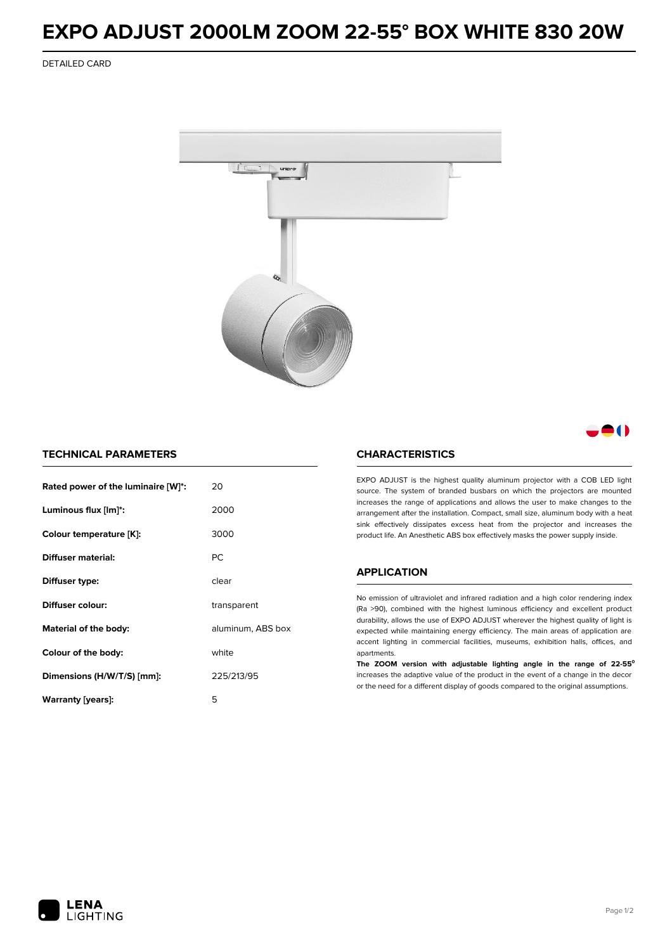## **EXPO ADJUST 2000LM ZOOM 22-55° BOX WHITE 830 20W**

DETAILED CARD



M

## **TECHNICAL PARAMETERS**

| Rated power of the luminaire [W]*: | 20                |  |
|------------------------------------|-------------------|--|
| Luminous flux [lm]*:               | 2000              |  |
| Colour temperature [K]:            | 3000              |  |
| Diffuser material:                 | <b>PC</b>         |  |
| Diffuser type:                     | clear             |  |
| Diffuser colour:                   | transparent       |  |
| Material of the body:              | aluminum, ABS box |  |
| Colour of the body:                | white             |  |
| Dimensions (H/W/T/S) [mm]:         | 225/213/95        |  |
| Warranty (years):                  | 5                 |  |

### **CHARACTERISTICS**

EXPO ADJUST is the highest quality aluminum projector with a COB LED light source. The system of branded busbars on which the projectors are mounted increases the range of applications and allows the user to make changes to the arrangement after the installation. Compact, small size, aluminum body with a heat sink effectively dissipates excess heat from the projector and increases the product life. An Anesthetic ABS box effectively masks the power supply inside.

#### **APPLICATION**

No emission of ultraviolet and infrared radiation and a high color rendering index (Ra >90), combined with the highest luminous efficiency and excellent product durability, allows the use of EXPO ADJUST wherever the highest quality of light is expected while maintaining energy efficiency. The main areas of application are accent lighting in commercial facilities, museums, exhibition halls, offices, and apartments.

**The ZOOM version with adjustable lighting angle in the range of 22-55⁰** increases the adaptive value of the product in the event of a change in the decor or the need for a different display of goods compared to the original assumptions.